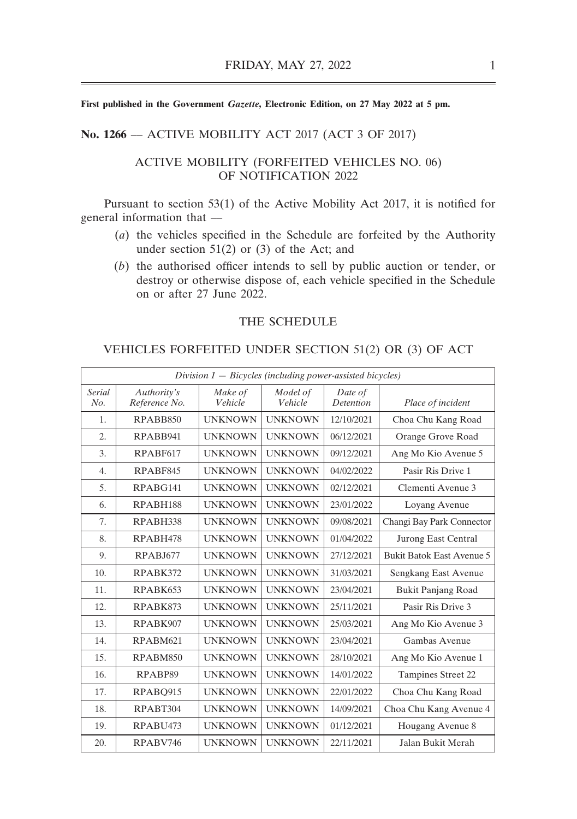#### **No. 1266** –– ACTIVE MOBILITY ACT 2017 (ACT 3 OF 2017)

#### ACTIVE MOBILITY (FORFEITED VEHICLES NO. 06) OF NOTIFICATION 2022

Pursuant to section 53(1) of the Active Mobility Act 2017, it is notified for general information that ––

- (*a*) the vehicles specified in the Schedule are forfeited by the Authority under section  $51(2)$  or  $(3)$  of the Act; and
- (*b*) the authorised officer intends to sell by public auction or tender, or destroy or otherwise dispose of, each vehicle specified in the Schedule on or after 27 June 2022.

## THE SCHEDULE

#### VEHICLES FORFEITED UNDER SECTION 51(2) OR (3) OF ACT

| $Division 1 - Bicycles$ (including power-assisted bicycles) |                              |                    |                     |                             |                                  |  |
|-------------------------------------------------------------|------------------------------|--------------------|---------------------|-----------------------------|----------------------------------|--|
| <b>Serial</b><br>No.                                        | Authority's<br>Reference No. | Make of<br>Vehicle | Model of<br>Vehicle | Date of<br><b>Detention</b> | Place of incident                |  |
| 1.                                                          | RPABB850                     | <b>UNKNOWN</b>     | <b>UNKNOWN</b>      | 12/10/2021                  | Choa Chu Kang Road               |  |
| 2.                                                          | RPABB941                     | <b>UNKNOWN</b>     | <b>UNKNOWN</b>      | 06/12/2021                  | Orange Grove Road                |  |
| 3.                                                          | RPABF617                     | <b>UNKNOWN</b>     | <b>UNKNOWN</b>      | 09/12/2021                  | Ang Mo Kio Avenue 5              |  |
| $\overline{4}$ .                                            | RPABF845                     | <b>UNKNOWN</b>     | <b>UNKNOWN</b>      | 04/02/2022                  | Pasir Ris Drive 1                |  |
| 5.                                                          | RPABG141                     | <b>UNKNOWN</b>     | <b>UNKNOWN</b>      | 02/12/2021                  | Clementi Avenue 3                |  |
| 6.                                                          | RPABH188                     | <b>UNKNOWN</b>     | <b>UNKNOWN</b>      | 23/01/2022                  | Loyang Avenue                    |  |
| 7.                                                          | RPABH338                     | <b>UNKNOWN</b>     | <b>UNKNOWN</b>      | 09/08/2021                  | Changi Bay Park Connector        |  |
| 8.                                                          | RPABH478                     | <b>UNKNOWN</b>     | <b>UNKNOWN</b>      | 01/04/2022                  | <b>Jurong East Central</b>       |  |
| 9.                                                          | <b>RPABJ677</b>              | <b>UNKNOWN</b>     | <b>UNKNOWN</b>      | 27/12/2021                  | <b>Bukit Batok East Avenue 5</b> |  |
| 10.                                                         | RPABK372                     | <b>UNKNOWN</b>     | <b>UNKNOWN</b>      | 31/03/2021                  | Sengkang East Avenue             |  |
| 11.                                                         | RPABK653                     | <b>UNKNOWN</b>     | <b>UNKNOWN</b>      | 23/04/2021                  | <b>Bukit Panjang Road</b>        |  |
| 12.                                                         | RPABK873                     | <b>UNKNOWN</b>     | <b>UNKNOWN</b>      | 25/11/2021                  | Pasir Ris Drive 3                |  |
| 13.                                                         | RPABK907                     | <b>UNKNOWN</b>     | <b>UNKNOWN</b>      | 25/03/2021                  | Ang Mo Kio Avenue 3              |  |
| 14.                                                         | RPABM621                     | <b>UNKNOWN</b>     | <b>UNKNOWN</b>      | 23/04/2021                  | Gambas Avenue                    |  |
| 15.                                                         | RPABM850                     | <b>UNKNOWN</b>     | <b>UNKNOWN</b>      | 28/10/2021                  | Ang Mo Kio Avenue 1              |  |
| 16.                                                         | RPABP89                      | <b>UNKNOWN</b>     | <b>UNKNOWN</b>      | 14/01/2022                  | Tampines Street 22               |  |
| 17.                                                         | RPABO915                     | <b>UNKNOWN</b>     | <b>UNKNOWN</b>      | 22/01/2022                  | Choa Chu Kang Road               |  |
| 18.                                                         | RPABT304                     | <b>UNKNOWN</b>     | <b>UNKNOWN</b>      | 14/09/2021                  | Choa Chu Kang Avenue 4           |  |
| 19.                                                         | RPABU473                     | <b>UNKNOWN</b>     | <b>UNKNOWN</b>      | 01/12/2021                  | Hougang Avenue 8                 |  |
| 20.                                                         | RPABV746                     | <b>UNKNOWN</b>     | <b>UNKNOWN</b>      | 22/11/2021                  | Jalan Bukit Merah                |  |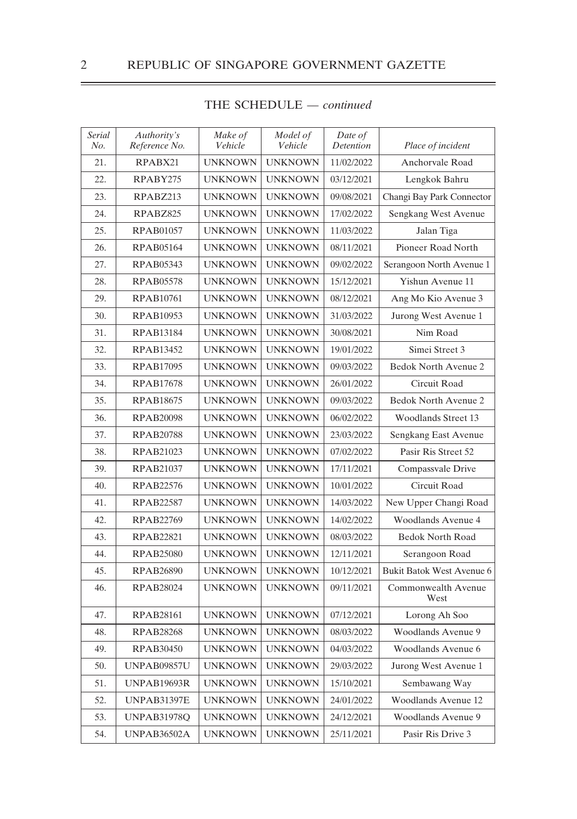| Serial<br>No. | Authority's<br>Reference No. | Make of<br>Vehicle | Model of<br>Vehicle | Date of<br><b>Detention</b> | Place of incident           |
|---------------|------------------------------|--------------------|---------------------|-----------------------------|-----------------------------|
| 21.           | RPABX21                      | <b>UNKNOWN</b>     | <b>UNKNOWN</b>      | 11/02/2022                  | Anchorvale Road             |
| 22.           | RPABY275                     | <b>UNKNOWN</b>     | <b>UNKNOWN</b>      | 03/12/2021                  | Lengkok Bahru               |
| 23.           | RPABZ213                     | <b>UNKNOWN</b>     | <b>UNKNOWN</b>      | 09/08/2021                  | Changi Bay Park Connector   |
| 24.           | RPABZ825                     | <b>UNKNOWN</b>     | <b>UNKNOWN</b>      | 17/02/2022                  | Sengkang West Avenue        |
| 25.           | <b>RPAB01057</b>             | <b>UNKNOWN</b>     | <b>UNKNOWN</b>      | 11/03/2022                  | Jalan Tiga                  |
| 26.           | <b>RPAB05164</b>             | <b>UNKNOWN</b>     | <b>UNKNOWN</b>      | 08/11/2021                  | Pioneer Road North          |
| 27.           | RPAB05343                    | <b>UNKNOWN</b>     | <b>UNKNOWN</b>      | 09/02/2022                  | Serangoon North Avenue 1    |
| 28.           | <b>RPAB05578</b>             | <b>UNKNOWN</b>     | <b>UNKNOWN</b>      | 15/12/2021                  | Yishun Avenue 11            |
| 29.           | <b>RPAB10761</b>             | <b>UNKNOWN</b>     | <b>UNKNOWN</b>      | 08/12/2021                  | Ang Mo Kio Avenue 3         |
| 30.           | <b>RPAB10953</b>             | <b>UNKNOWN</b>     | <b>UNKNOWN</b>      | 31/03/2022                  | Jurong West Avenue 1        |
| 31.           | <b>RPAB13184</b>             | <b>UNKNOWN</b>     | <b>UNKNOWN</b>      | 30/08/2021                  | Nim Road                    |
| 32.           | <b>RPAB13452</b>             | <b>UNKNOWN</b>     | <b>UNKNOWN</b>      | 19/01/2022                  | Simei Street 3              |
| 33.           | <b>RPAB17095</b>             | <b>UNKNOWN</b>     | <b>UNKNOWN</b>      | 09/03/2022                  | <b>Bedok North Avenue 2</b> |
| 34.           | <b>RPAB17678</b>             | <b>UNKNOWN</b>     | <b>UNKNOWN</b>      | 26/01/2022                  | Circuit Road                |
| 35.           | <b>RPAB18675</b>             | <b>UNKNOWN</b>     | <b>UNKNOWN</b>      | 09/03/2022                  | <b>Bedok North Avenue 2</b> |
| 36.           | <b>RPAB20098</b>             | <b>UNKNOWN</b>     | <b>UNKNOWN</b>      | 06/02/2022                  | <b>Woodlands Street 13</b>  |
| 37.           | <b>RPAB20788</b>             | <b>UNKNOWN</b>     | <b>UNKNOWN</b>      | 23/03/2022                  | Sengkang East Avenue        |
| 38.           | RPAB21023                    | <b>UNKNOWN</b>     | <b>UNKNOWN</b>      | 07/02/2022                  | Pasir Ris Street 52         |
| 39.           | <b>RPAB21037</b>             | <b>UNKNOWN</b>     | <b>UNKNOWN</b>      | 17/11/2021                  | Compassvale Drive           |
| 40.           | RPAB22576                    | <b>UNKNOWN</b>     | <b>UNKNOWN</b>      | 10/01/2022                  | Circuit Road                |
| 41.           | <b>RPAB22587</b>             | <b>UNKNOWN</b>     | <b>UNKNOWN</b>      | 14/03/2022                  | New Upper Changi Road       |
| 42.           | RPAB22769                    | <b>UNKNOWN</b>     | <b>UNKNOWN</b>      | 14/02/2022                  | <b>Woodlands Avenue 4</b>   |
| 43.           | <b>RPAB22821</b>             | <b>UNKNOWN</b>     | <b>UNKNOWN</b>      | 08/03/2022                  | Bedok North Road            |
| 44.           | <b>RPAB25080</b>             | <b>UNKNOWN</b>     | <b>UNKNOWN</b>      | 12/11/2021                  | Serangoon Road              |
| 45.           | <b>RPAB26890</b>             | <b>UNKNOWN</b>     | <b>UNKNOWN</b>      | 10/12/2021                  | Bukit Batok West Avenue 6   |
| 46.           | <b>RPAB28024</b>             | <b>UNKNOWN</b>     | <b>UNKNOWN</b>      | 09/11/2021                  | Commonwealth Avenue<br>West |
| 47.           | <b>RPAB28161</b>             | <b>UNKNOWN</b>     | <b>UNKNOWN</b>      | 07/12/2021                  | Lorong Ah Soo               |
| 48.           | <b>RPAB28268</b>             | <b>UNKNOWN</b>     | <b>UNKNOWN</b>      | 08/03/2022                  | Woodlands Avenue 9          |
| 49.           | <b>RPAB30450</b>             | <b>UNKNOWN</b>     | <b>UNKNOWN</b>      | 04/03/2022                  | Woodlands Avenue 6          |
| 50.           | <b>UNPAB09857U</b>           | <b>UNKNOWN</b>     | <b>UNKNOWN</b>      | 29/03/2022                  | Jurong West Avenue 1        |
| 51.           | UNPAB19693R                  | <b>UNKNOWN</b>     | <b>UNKNOWN</b>      | 15/10/2021                  | Sembawang Way               |
| 52.           | <b>UNPAB31397E</b>           | <b>UNKNOWN</b>     | <b>UNKNOWN</b>      | 24/01/2022                  | Woodlands Avenue 12         |
| 53.           | <b>UNPAB31978Q</b>           | <b>UNKNOWN</b>     | <b>UNKNOWN</b>      | 24/12/2021                  | Woodlands Avenue 9          |
| 54.           | <b>UNPAB36502A</b>           | <b>UNKNOWN</b>     | <b>UNKNOWN</b>      | 25/11/2021                  | Pasir Ris Drive 3           |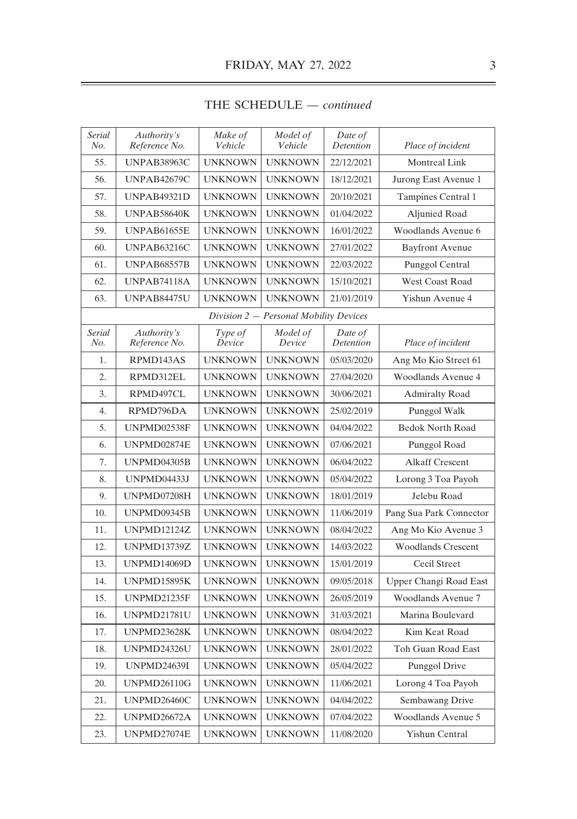| <b>Serial</b><br>No. | Authority's<br>Reference No. | Make of<br>Vehicle | Model of<br>Vehicle                    | Date of<br>Detention | Place of incident         |
|----------------------|------------------------------|--------------------|----------------------------------------|----------------------|---------------------------|
| 55.                  | UNPAB38963C                  | <b>UNKNOWN</b>     | <b>UNKNOWN</b>                         | 22/12/2021           | Montreal Link             |
| 56.                  | <b>UNPAB42679C</b>           | <b>UNKNOWN</b>     | <b>UNKNOWN</b>                         | 18/12/2021           | Jurong East Avenue 1      |
| 57.                  | <b>UNPAB49321D</b>           | <b>UNKNOWN</b>     | <b>UNKNOWN</b>                         | 20/10/2021           | Tampines Central 1        |
| 58.                  | UNPAB58640K                  | <b>UNKNOWN</b>     | <b>UNKNOWN</b>                         | 01/04/2022           | Aljunied Road             |
| 59.                  | UNPAB61655E                  | <b>UNKNOWN</b>     | <b>UNKNOWN</b>                         | 16/01/2022           | Woodlands Avenue 6        |
| 60.                  | UNPAB63216C                  | <b>UNKNOWN</b>     | <b>UNKNOWN</b>                         | 27/01/2022           | <b>Bayfront Avenue</b>    |
| 61.                  | <b>UNPAB68557B</b>           | <b>UNKNOWN</b>     | <b>UNKNOWN</b>                         | 22/03/2022           | Punggol Central           |
| 62.                  | <b>UNPAB74118A</b>           | <b>UNKNOWN</b>     | <b>UNKNOWN</b>                         | 15/10/2021           | <b>West Coast Road</b>    |
| 63.                  | <b>UNPAB84475U</b>           | <b>UNKNOWN</b>     | <b>UNKNOWN</b>                         | 21/01/2019           | Yishun Avenue 4           |
|                      |                              |                    | Division 2 – Personal Mobility Devices |                      |                           |
| Serial<br>No.        | Authority's<br>Reference No. | Type of<br>Device  | Model of<br>Device                     | Date of<br>Detention | Place of incident         |
| 1.                   | RPMD143AS                    | <b>UNKNOWN</b>     | <b>UNKNOWN</b>                         | 05/03/2020           | Ang Mo Kio Street 61      |
| 2.                   | RPMD312EL                    | <b>UNKNOWN</b>     | <b>UNKNOWN</b>                         | 27/04/2020           | <b>Woodlands Avenue 4</b> |
| 3.                   | RPMD497CL                    | <b>UNKNOWN</b>     | <b>UNKNOWN</b>                         | 30/06/2021           | <b>Admiralty Road</b>     |
| 4.                   | RPMD796DA                    | <b>UNKNOWN</b>     | <b>UNKNOWN</b>                         | 25/02/2019           | Punggol Walk              |
| 5.                   | UNPMD02538F                  | <b>UNKNOWN</b>     | <b>UNKNOWN</b>                         | 04/04/2022           | <b>Bedok North Road</b>   |
| 6.                   | UNPMD02874E                  | <b>UNKNOWN</b>     | <b>UNKNOWN</b>                         | 07/06/2021           | Punggol Road              |
| 7.                   | UNPMD04305B                  | <b>UNKNOWN</b>     | <b>UNKNOWN</b>                         | 06/04/2022           | <b>Alkaff Crescent</b>    |
| 8.                   | UNPMD04433J                  | <b>UNKNOWN</b>     | <b>UNKNOWN</b>                         | 05/04/2022           | Lorong 3 Toa Payoh        |
| 9.                   | UNPMD07208H                  | <b>UNKNOWN</b>     | <b>UNKNOWN</b>                         | 18/01/2019           | Jelebu Road               |
| 10.                  | UNPMD09345B                  | <b>UNKNOWN</b>     | <b>UNKNOWN</b>                         | 11/06/2019           | Pang Sua Park Connector   |
| 11.                  | <b>UNPMD12124Z</b>           | <b>UNKNOWN</b>     | <b>UNKNOWN</b>                         | 08/04/2022           | Ang Mo Kio Avenue 3       |
| 12.                  | <b>UNPMD13739Z</b>           | <b>UNKNOWN</b>     | <b>UNKNOWN</b>                         | 14/03/2022           | <b>Woodlands Crescent</b> |
| 13.                  | UNPMD14069D                  | <b>UNKNOWN</b>     | <b>UNKNOWN</b>                         | 15/01/2019           | Cecil Street              |
| 14.                  | UNPMD15895K                  | <b>UNKNOWN</b>     | <b>UNKNOWN</b>                         | 09/05/2018           | Upper Changi Road East    |
| 15.                  | UNPMD21235F                  | <b>UNKNOWN</b>     | <b>UNKNOWN</b>                         | 26/05/2019           | <b>Woodlands Avenue 7</b> |
| 16.                  | <b>UNPMD21781U</b>           | <b>UNKNOWN</b>     | <b>UNKNOWN</b>                         | 31/03/2021           | Marina Boulevard          |
| 17.                  | UNPMD23628K                  | <b>UNKNOWN</b>     | <b>UNKNOWN</b>                         | 08/04/2022           | Kim Keat Road             |
| 18.                  | <b>UNPMD24326U</b>           | <b>UNKNOWN</b>     | <b>UNKNOWN</b>                         | 28/01/2022           | Toh Guan Road East        |
| 19.                  | <b>UNPMD24639I</b>           | <b>UNKNOWN</b>     | <b>UNKNOWN</b>                         | 05/04/2022           | Punggol Drive             |
| 20.                  | <b>UNPMD26110G</b>           | <b>UNKNOWN</b>     | <b>UNKNOWN</b>                         | 11/06/2021           | Lorong 4 Toa Payoh        |
| 21.                  | UNPMD26460C                  | <b>UNKNOWN</b>     | <b>UNKNOWN</b>                         | 04/04/2022           | Sembawang Drive           |
| 22.                  | UNPMD26672A                  | <b>UNKNOWN</b>     | <b>UNKNOWN</b>                         | 07/04/2022           | Woodlands Avenue 5        |
| 23.                  | UNPMD27074E                  | <b>UNKNOWN</b>     | <b>UNKNOWN</b>                         | 11/08/2020           | Yishun Central            |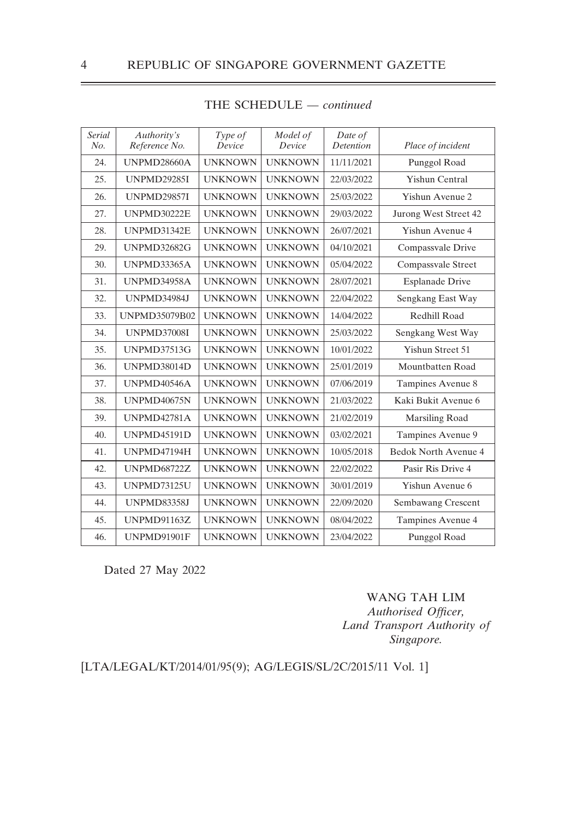| <b>Serial</b><br>No. | Authority's<br>Reference No. | Type of<br>Device | Model of<br>Device | Date of<br><b>Detention</b> | Place of incident      |
|----------------------|------------------------------|-------------------|--------------------|-----------------------------|------------------------|
| 24.                  | UNPMD28660A                  | <b>UNKNOWN</b>    | <b>UNKNOWN</b>     | 11/11/2021                  | Punggol Road           |
| 25.                  | <b>UNPMD29285I</b>           | <b>UNKNOWN</b>    | <b>UNKNOWN</b>     | 22/03/2022                  | Yishun Central         |
| 26.                  | <b>UNPMD29857I</b>           | <b>UNKNOWN</b>    | <b>UNKNOWN</b>     | 25/03/2022                  | Yishun Avenue 2        |
| 27.                  | <b>UNPMD30222E</b>           | <b>UNKNOWN</b>    | <b>UNKNOWN</b>     | 29/03/2022                  | Jurong West Street 42  |
| 28.                  | UNPMD31342E                  | <b>UNKNOWN</b>    | <b>UNKNOWN</b>     | 26/07/2021                  | Yishun Avenue 4        |
| 29.                  | <b>UNPMD32682G</b>           | <b>UNKNOWN</b>    | <b>UNKNOWN</b>     | 04/10/2021                  | Compassvale Drive      |
| 30.                  | <b>UNPMD33365A</b>           | <b>UNKNOWN</b>    | <b>UNKNOWN</b>     | 05/04/2022                  | Compassvale Street     |
| 31.                  | <b>UNPMD34958A</b>           | <b>UNKNOWN</b>    | <b>UNKNOWN</b>     | 28/07/2021                  | <b>Esplanade Drive</b> |
| 32.                  | <b>UNPMD34984J</b>           | <b>UNKNOWN</b>    | <b>UNKNOWN</b>     | 22/04/2022                  | Sengkang East Way      |
| 33.                  | <b>UNPMD35079B02</b>         | <b>UNKNOWN</b>    | <b>UNKNOWN</b>     | 14/04/2022                  | Redhill Road           |
| 34.                  | <b>UNPMD37008I</b>           | <b>UNKNOWN</b>    | <b>UNKNOWN</b>     | 25/03/2022                  | Sengkang West Way      |
| 35.                  | <b>UNPMD37513G</b>           | <b>UNKNOWN</b>    | <b>UNKNOWN</b>     | 10/01/2022                  | Yishun Street 51       |
| 36.                  | <b>UNPMD38014D</b>           | <b>UNKNOWN</b>    | <b>UNKNOWN</b>     | 25/01/2019                  | Mountbatten Road       |
| 37.                  | UNPMD40546A                  | <b>UNKNOWN</b>    | <b>UNKNOWN</b>     | 07/06/2019                  | Tampines Avenue 8      |
| 38.                  | <b>UNPMD40675N</b>           | <b>UNKNOWN</b>    | <b>UNKNOWN</b>     | 21/03/2022                  | Kaki Bukit Avenue 6    |
| 39.                  | <b>UNPMD42781A</b>           | <b>UNKNOWN</b>    | <b>UNKNOWN</b>     | 21/02/2019                  | Marsiling Road         |
| 40.                  | UNPMD45191D                  | <b>UNKNOWN</b>    | <b>UNKNOWN</b>     | 03/02/2021                  | Tampines Avenue 9      |
| 41.                  | UNPMD47194H                  | <b>UNKNOWN</b>    | <b>UNKNOWN</b>     | 10/05/2018                  | Bedok North Avenue 4   |
| 42.                  | <b>UNPMD68722Z</b>           | <b>UNKNOWN</b>    | <b>UNKNOWN</b>     | 22/02/2022                  | Pasir Ris Drive 4      |
| 43.                  | <b>UNPMD73125U</b>           | <b>UNKNOWN</b>    | <b>UNKNOWN</b>     | 30/01/2019                  | Yishun Avenue 6        |
| 44.                  | <b>UNPMD83358J</b>           | <b>UNKNOWN</b>    | <b>UNKNOWN</b>     | 22/09/2020                  | Sembawang Crescent     |
| 45.                  | <b>UNPMD91163Z</b>           | <b>UNKNOWN</b>    | <b>UNKNOWN</b>     | 08/04/2022                  | Tampines Avenue 4      |
| 46.                  | UNPMD91901F                  | <b>UNKNOWN</b>    | <b>UNKNOWN</b>     | 23/04/2022                  | Punggol Road           |

Dated 27 May 2022

## WANG TAH LIM

*Authorised Officer, Land Transport Authority of Singapore.*

## [LTA/LEGAL/KT/2014/01/95(9); AG/LEGIS/SL/2C/2015/11 Vol. 1]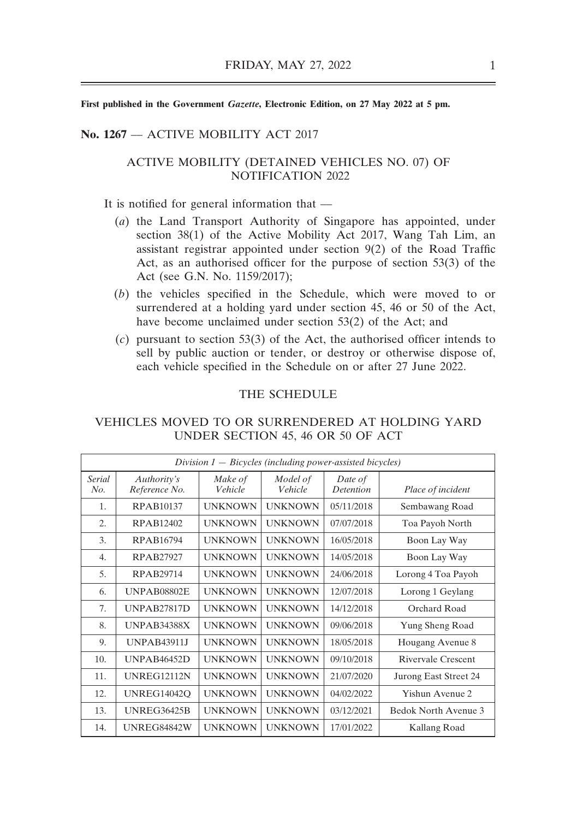#### **No. 1267** –– ACTIVE MOBILITY ACT 2017

#### ACTIVE MOBILITY (DETAINED VEHICLES NO. 07) OF NOTIFICATION 2022

It is notified for general information that —

- (*a*) the Land Transport Authority of Singapore has appointed, under section 38(1) of the Active Mobility Act 2017, Wang Tah Lim, an assistant registrar appointed under section 9(2) of the Road Traffic Act, as an authorised officer for the purpose of section 53(3) of the Act (see G.N. No. 1159/2017);
- (*b*) the vehicles specified in the Schedule, which were moved to or surrendered at a holding yard under section 45, 46 or 50 of the Act, have become unclaimed under section 53(2) of the Act; and
- (*c*) pursuant to section 53(3) of the Act, the authorised officer intends to sell by public auction or tender, or destroy or otherwise dispose of, each vehicle specified in the Schedule on or after 27 June 2022.

### THE SCHEDULE

| Division $1 - B$ icycles (including power-assisted bicycles) |                              |                    |                     |                             |                       |  |  |
|--------------------------------------------------------------|------------------------------|--------------------|---------------------|-----------------------------|-----------------------|--|--|
| Serial<br>No.                                                | Authority's<br>Reference No. | Make of<br>Vehicle | Model of<br>Vehicle | Date of<br><b>Detention</b> | Place of incident     |  |  |
| 1.                                                           | <b>RPAB10137</b>             | <b>UNKNOWN</b>     | <b>UNKNOWN</b>      | 05/11/2018                  | Sembawang Road        |  |  |
| $\overline{2}$ .                                             | RPAB12402                    | <b>UNKNOWN</b>     | <b>UNKNOWN</b>      | 07/07/2018                  | Toa Payoh North       |  |  |
| 3.                                                           | RPAB16794                    | <b>UNKNOWN</b>     | <b>UNKNOWN</b>      | 16/05/2018                  | Boon Lay Way          |  |  |
| $\overline{4}$ .                                             | RPAB27927                    | <b>UNKNOWN</b>     | <b>UNKNOWN</b>      | 14/05/2018                  | Boon Lay Way          |  |  |
| 5.                                                           | RPAB29714                    | <b>UNKNOWN</b>     | <b>UNKNOWN</b>      | 24/06/2018                  | Lorong 4 Toa Payoh    |  |  |
| 6.                                                           | UNPAB08802E                  | <b>UNKNOWN</b>     | <b>UNKNOWN</b>      | 12/07/2018                  | Lorong 1 Geylang      |  |  |
| 7.                                                           | UNPAB27817D                  | <b>UNKNOWN</b>     | <b>UNKNOWN</b>      | 14/12/2018                  | Orchard Road          |  |  |
| 8.                                                           | <b>UNPAB34388X</b>           | <b>UNKNOWN</b>     | <b>UNKNOWN</b>      | 09/06/2018                  | Yung Sheng Road       |  |  |
| 9.                                                           | <b>UNPAB43911J</b>           | <b>UNKNOWN</b>     | <b>UNKNOWN</b>      | 18/05/2018                  | Hougang Avenue 8      |  |  |
| 10.                                                          | <b>UNPAB46452D</b>           | <b>UNKNOWN</b>     | <b>UNKNOWN</b>      | 09/10/2018                  | Rivervale Crescent    |  |  |
| 11.                                                          | <b>UNREG12112N</b>           | <b>UNKNOWN</b>     | <b>UNKNOWN</b>      | 21/07/2020                  | Jurong East Street 24 |  |  |
| 12.                                                          | <b>UNREG14042O</b>           | <b>UNKNOWN</b>     | <b>UNKNOWN</b>      | 04/02/2022                  | Yishun Avenue 2       |  |  |
| 13.                                                          | <b>UNREG36425B</b>           | <b>UNKNOWN</b>     | <b>UNKNOWN</b>      | 03/12/2021                  | Bedok North Avenue 3  |  |  |
| 14.                                                          | UNREG84842W                  | <b>UNKNOWN</b>     | <b>UNKNOWN</b>      | 17/01/2022                  | Kallang Road          |  |  |

## VEHICLES MOVED TO OR SURRENDERED AT HOLDING YARD UNDER SECTION 45, 46 OR 50 OF ACT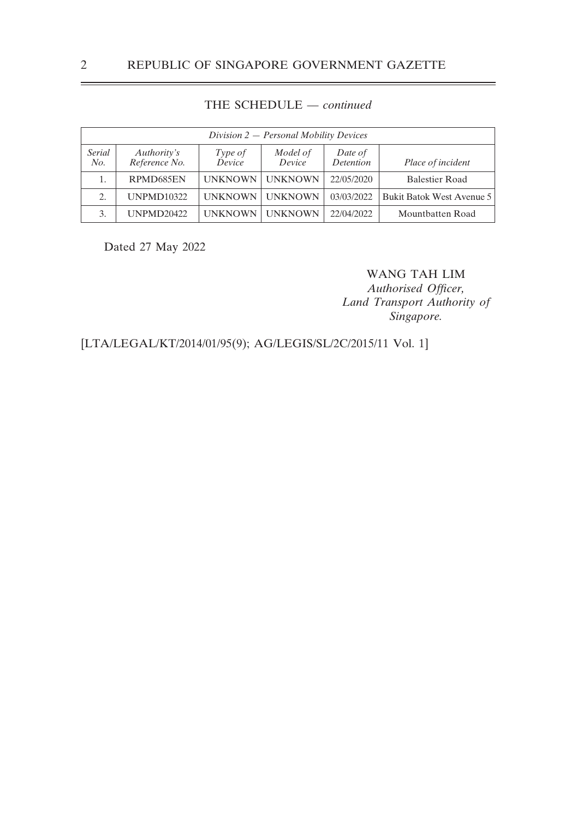| Division 2 - Personal Mobility Devices |                              |                   |                    |                             |                           |  |  |
|----------------------------------------|------------------------------|-------------------|--------------------|-----------------------------|---------------------------|--|--|
| Serial<br>No.                          | Authority's<br>Reference No. | Type of<br>Device | Model of<br>Device | Date of<br><b>Detention</b> | Place of incident         |  |  |
|                                        | RPMD685EN                    | <b>UNKNOWN</b>    | <b>UNKNOWN</b>     | 22/05/2020                  | <b>Balestier Road</b>     |  |  |
| 2.                                     | <b>UNPMD10322</b>            | <b>UNKNOWN</b>    | <b>UNKNOWN</b>     | 03/03/2022                  | Bukit Batok West Avenue 5 |  |  |
|                                        | <b>UNPMD20422</b>            | <b>UNKNOWN</b>    | <b>UNKNOWN</b>     | 22/04/2022                  | Mountbatten Road          |  |  |

Dated 27 May 2022

WANG TAH LIM *Authorised Officer,*

*Land Transport Authority of Singapore.*

[LTA/LEGAL/KT/2014/01/95(9); AG/LEGIS/SL/2C/2015/11 Vol. 1]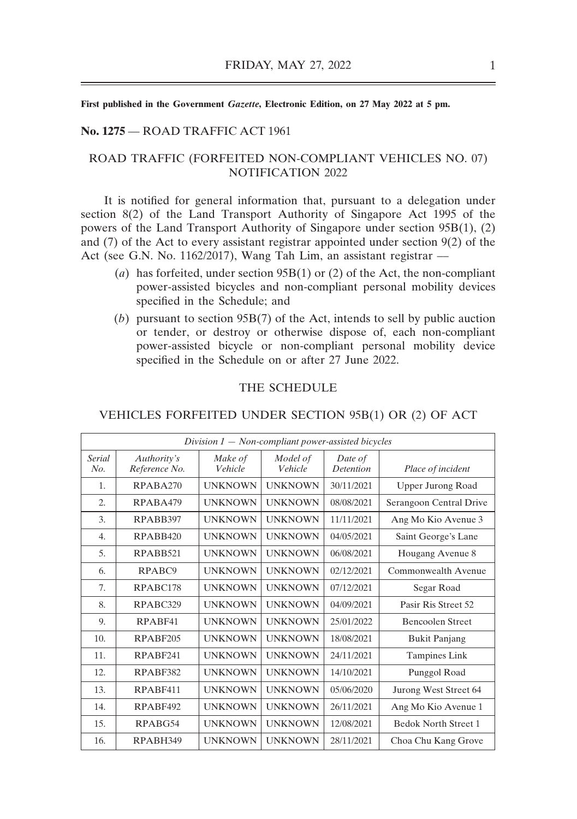#### **No. 1275** –– ROAD TRAFFIC ACT 1961

### ROAD TRAFFIC (FORFEITED NON-COMPLIANT VEHICLES NO. 07) NOTIFICATION 2022

It is notified for general information that, pursuant to a delegation under section 8(2) of the Land Transport Authority of Singapore Act 1995 of the powers of the Land Transport Authority of Singapore under section 95B(1), (2) and (7) of the Act to every assistant registrar appointed under section 9(2) of the Act (see G.N. No. 1162/2017), Wang Tah Lim, an assistant registrar —

- (*a*) has forfeited, under section 95B(1) or (2) of the Act, the non-compliant power-assisted bicycles and non-compliant personal mobility devices specified in the Schedule; and
- (*b*) pursuant to section 95B(7) of the Act, intends to sell by public auction or tender, or destroy or otherwise dispose of, each non-compliant power-assisted bicycle or non-compliant personal mobility device specified in the Schedule on or after 27 June 2022.

#### THE SCHEDULE

| Division $1 - Non-compliant power-assisted bicycles$ |                              |                    |                     |                      |                             |  |  |
|------------------------------------------------------|------------------------------|--------------------|---------------------|----------------------|-----------------------------|--|--|
| Serial<br>No.                                        | Authority's<br>Reference No. | Make of<br>Vehicle | Model of<br>Vehicle | Date of<br>Detention | Place of incident           |  |  |
| 1.                                                   | RPABA270                     | <b>UNKNOWN</b>     | <b>UNKNOWN</b>      | 30/11/2021           | <b>Upper Jurong Road</b>    |  |  |
| $\overline{2}$ .                                     | RPABA479                     | <b>UNKNOWN</b>     | <b>UNKNOWN</b>      | 08/08/2021           | Serangoon Central Drive     |  |  |
| 3.                                                   | RPABB397                     | <b>UNKNOWN</b>     | <b>UNKNOWN</b>      | 11/11/2021           | Ang Mo Kio Avenue 3         |  |  |
| 4.                                                   | RPABB420                     | <b>UNKNOWN</b>     | <b>UNKNOWN</b>      | 04/05/2021           | Saint George's Lane         |  |  |
| 5.                                                   | RPABB521                     | <b>UNKNOWN</b>     | <b>UNKNOWN</b>      | 06/08/2021           | Hougang Avenue 8            |  |  |
| 6.                                                   | RPABC9                       | <b>UNKNOWN</b>     | <b>UNKNOWN</b>      | 02/12/2021           | Commonwealth Avenue         |  |  |
| 7.                                                   | RPABC178                     | <b>UNKNOWN</b>     | <b>UNKNOWN</b>      | 07/12/2021           | Segar Road                  |  |  |
| 8.                                                   | RPABC329                     | <b>UNKNOWN</b>     | <b>UNKNOWN</b>      | 04/09/2021           | Pasir Ris Street 52         |  |  |
| 9.                                                   | RPARF41                      | <b>UNKNOWN</b>     | <b>UNKNOWN</b>      | 25/01/2022           | Bencoolen Street            |  |  |
| 10.                                                  | RPABF205                     | <b>UNKNOWN</b>     | <b>UNKNOWN</b>      | 18/08/2021           | <b>Bukit Panjang</b>        |  |  |
| 11.                                                  | RPABF241                     | <b>UNKNOWN</b>     | <b>UNKNOWN</b>      | 24/11/2021           | Tampines Link               |  |  |
| 12.                                                  | RPABF382                     | <b>UNKNOWN</b>     | <b>UNKNOWN</b>      | 14/10/2021           | Punggol Road                |  |  |
| 13.                                                  | RPABF411                     | <b>UNKNOWN</b>     | <b>UNKNOWN</b>      | 05/06/2020           | Jurong West Street 64       |  |  |
| 14.                                                  | RPABF492                     | <b>UNKNOWN</b>     | <b>UNKNOWN</b>      | 26/11/2021           | Ang Mo Kio Avenue 1         |  |  |
| 15.                                                  | RPABG54                      | <b>UNKNOWN</b>     | <b>UNKNOWN</b>      | 12/08/2021           | <b>Bedok North Street 1</b> |  |  |
| 16.                                                  | RPABH349                     | <b>UNKNOWN</b>     | <b>UNKNOWN</b>      | 28/11/2021           | Choa Chu Kang Grove         |  |  |

#### VEHICLES FORFEITED UNDER SECTION 95B(1) OR (2) OF ACT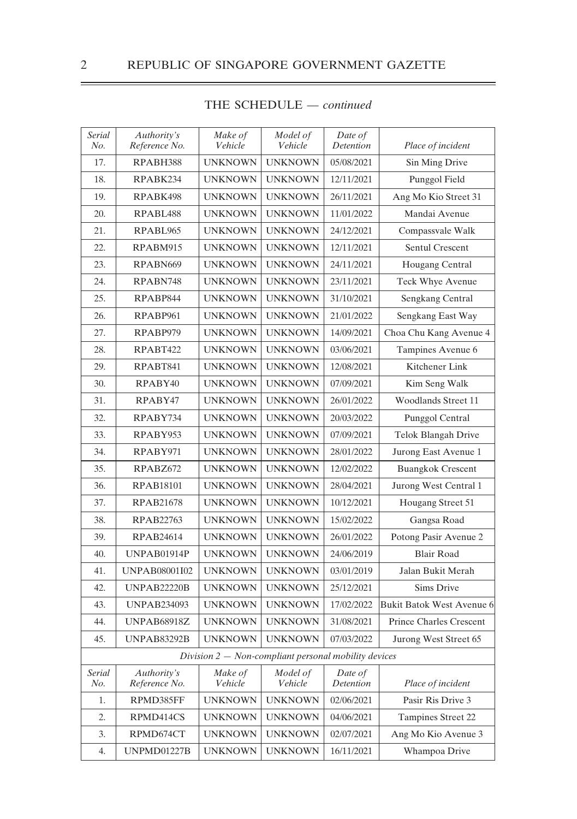| Serial<br>No. | Authority's<br>Reference No. | Make of<br>Vehicle                                     | Model of<br>Vehicle | Date of<br>Detention | Place of incident              |
|---------------|------------------------------|--------------------------------------------------------|---------------------|----------------------|--------------------------------|
| 17.           | RPABH388                     | <b>UNKNOWN</b>                                         | <b>UNKNOWN</b>      | 05/08/2021           | Sin Ming Drive                 |
| 18.           | RPABK234                     | <b>UNKNOWN</b>                                         | <b>UNKNOWN</b>      | 12/11/2021           | Punggol Field                  |
| 19.           | RPABK498                     | <b>UNKNOWN</b>                                         | <b>UNKNOWN</b>      | 26/11/2021           | Ang Mo Kio Street 31           |
| 20.           | RPABL <sub>488</sub>         | <b>UNKNOWN</b>                                         | <b>UNKNOWN</b>      | 11/01/2022           | Mandai Avenue                  |
| 21.           | RPABL965                     | <b>UNKNOWN</b>                                         | <b>UNKNOWN</b>      | 24/12/2021           | Compassvale Walk               |
| 22.           | RPABM915                     | <b>UNKNOWN</b>                                         | <b>UNKNOWN</b>      | 12/11/2021           | Sentul Crescent                |
| 23.           | RPABN669                     | <b>UNKNOWN</b>                                         | <b>UNKNOWN</b>      | 24/11/2021           | Hougang Central                |
| 24.           | RPABN748                     | <b>UNKNOWN</b>                                         | <b>UNKNOWN</b>      | 23/11/2021           | Teck Whye Avenue               |
| 25.           | RPABP844                     | <b>UNKNOWN</b>                                         | <b>UNKNOWN</b>      | 31/10/2021           | Sengkang Central               |
| 26.           | RPABP961                     | <b>UNKNOWN</b>                                         | <b>UNKNOWN</b>      | 21/01/2022           | Sengkang East Way              |
| 27.           | RPABP979                     | <b>UNKNOWN</b>                                         | <b>UNKNOWN</b>      | 14/09/2021           | Choa Chu Kang Avenue 4         |
| 28.           | RPABT422                     | <b>UNKNOWN</b>                                         | <b>UNKNOWN</b>      | 03/06/2021           | Tampines Avenue 6              |
| 29.           | RPABT841                     | <b>UNKNOWN</b>                                         | <b>UNKNOWN</b>      | 12/08/2021           | Kitchener Link                 |
| 30.           | RPABY40                      | <b>UNKNOWN</b>                                         | <b>UNKNOWN</b>      | 07/09/2021           | Kim Seng Walk                  |
| 31.           | RPABY47                      | <b>UNKNOWN</b>                                         | <b>UNKNOWN</b>      | 26/01/2022           | <b>Woodlands Street 11</b>     |
| 32.           | RPABY734                     | <b>UNKNOWN</b>                                         | <b>UNKNOWN</b>      | 20/03/2022           | Punggol Central                |
| 33.           | RPABY953                     | <b>UNKNOWN</b>                                         | <b>UNKNOWN</b>      | 07/09/2021           | Telok Blangah Drive            |
| 34.           | RPABY971                     | <b>UNKNOWN</b>                                         | <b>UNKNOWN</b>      | 28/01/2022           | Jurong East Avenue 1           |
| 35.           | RPABZ672                     | <b>UNKNOWN</b>                                         | <b>UNKNOWN</b>      | 12/02/2022           | <b>Buangkok Crescent</b>       |
| 36.           | <b>RPAB18101</b>             | <b>UNKNOWN</b>                                         | <b>UNKNOWN</b>      | 28/04/2021           | Jurong West Central 1          |
| 37.           | <b>RPAB21678</b>             | <b>UNKNOWN</b>                                         | <b>UNKNOWN</b>      | 10/12/2021           | Hougang Street 51              |
| 38.           | RPAB22763                    | <b>UNKNOWN</b>                                         | <b>UNKNOWN</b>      | 15/02/2022           | Gangsa Road                    |
| 39.           | RPAB24614                    | <b>UNKNOWN</b>                                         | <b>UNKNOWN</b>      | 26/01/2022           | Potong Pasir Avenue 2          |
| 40.           | UNPAB01914P                  | <b>UNKNOWN</b>                                         | <b>UNKNOWN</b>      | 24/06/2019           | <b>Blair Road</b>              |
| 41.           | UNPAB08001I02                | <b>UNKNOWN</b>                                         | <b>UNKNOWN</b>      | 03/01/2019           | Jalan Bukit Merah              |
| 42.           | <b>UNPAB22220B</b>           | <b>UNKNOWN</b>                                         | <b>UNKNOWN</b>      | 25/12/2021           | Sims Drive                     |
| 43.           | <b>UNPAB234093</b>           | <b>UNKNOWN</b>                                         | <b>UNKNOWN</b>      | 17/02/2022           | Bukit Batok West Avenue 6      |
| 44.           | <b>UNPAB68918Z</b>           | <b>UNKNOWN</b>                                         | <b>UNKNOWN</b>      | 31/08/2021           | <b>Prince Charles Crescent</b> |
| 45.           | <b>UNPAB83292B</b>           | <b>UNKNOWN</b>                                         | <b>UNKNOWN</b>      | 07/03/2022           | Jurong West Street 65          |
|               |                              | Division $2 - Non-compliant$ personal mobility devices |                     |                      |                                |
| Serial<br>No. | Authority's<br>Reference No. | Make of<br>Vehicle                                     | Model of<br>Vehicle | Date of<br>Detention | Place of incident              |
| 1.            | RPMD385FF                    | <b>UNKNOWN</b>                                         | <b>UNKNOWN</b>      | 02/06/2021           | Pasir Ris Drive 3              |
| 2.            | RPMD414CS                    | <b>UNKNOWN</b>                                         | <b>UNKNOWN</b>      | 04/06/2021           | Tampines Street 22             |
| 3.            | RPMD674CT                    | <b>UNKNOWN</b>                                         | <b>UNKNOWN</b>      | 02/07/2021           | Ang Mo Kio Avenue 3            |
| 4.            | UNPMD01227B                  | <b>UNKNOWN</b>                                         | <b>UNKNOWN</b>      | 16/11/2021           | Whampoa Drive                  |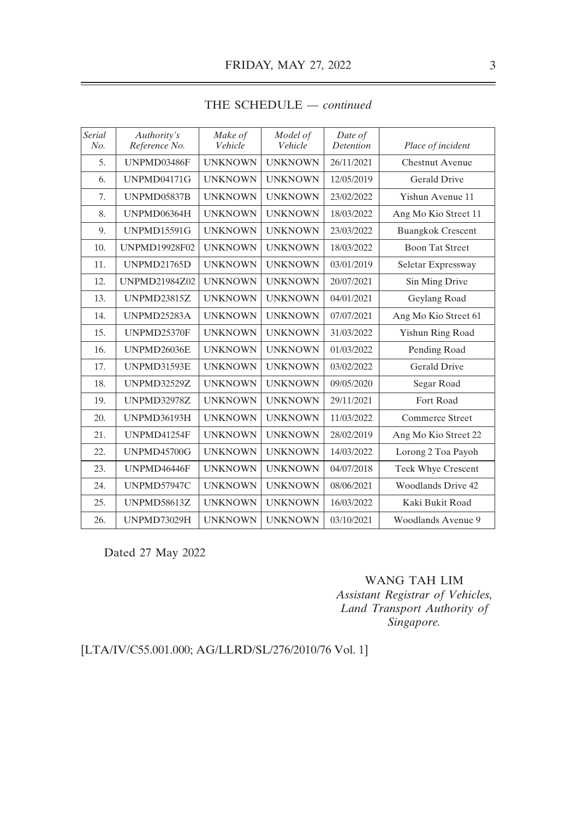| <b>Serial</b><br>No. | Authority's<br>Reference No. | Make of<br>Vehicle | Model of<br>Vehicle | Date of<br><b>Detention</b> | Place of incident         |
|----------------------|------------------------------|--------------------|---------------------|-----------------------------|---------------------------|
| 5.                   | UNPMD03486F                  | <b>UNKNOWN</b>     | <b>UNKNOWN</b>      | 26/11/2021                  | <b>Chestnut Avenue</b>    |
| 6.                   | <b>UNPMD04171G</b>           | <b>UNKNOWN</b>     | <b>UNKNOWN</b>      | 12/05/2019                  | Gerald Drive              |
| 7.                   | <b>UNPMD05837B</b>           | <b>UNKNOWN</b>     | <b>UNKNOWN</b>      | 23/02/2022                  | Yishun Avenue 11          |
| 8.                   | UNPMD06364H                  | <b>UNKNOWN</b>     | <b>UNKNOWN</b>      | 18/03/2022                  | Ang Mo Kio Street 11      |
| 9.                   | <b>UNPMD15591G</b>           | <b>UNKNOWN</b>     | <b>UNKNOWN</b>      | 23/03/2022                  | <b>Buangkok Crescent</b>  |
| 10.                  | <b>UNPMD19928F02</b>         | <b>UNKNOWN</b>     | <b>UNKNOWN</b>      | 18/03/2022                  | <b>Boon Tat Street</b>    |
| 11.                  | <b>UNPMD21765D</b>           | <b>UNKNOWN</b>     | <b>UNKNOWN</b>      | 03/01/2019                  | Seletar Expressway        |
| 12.                  | UNPMD21984Z02                | <b>UNKNOWN</b>     | <b>UNKNOWN</b>      | 20/07/2021                  | Sin Ming Drive            |
| 13.                  | <b>UNPMD23815Z</b>           | <b>UNKNOWN</b>     | <b>UNKNOWN</b>      | 04/01/2021                  | Geylang Road              |
| 14.                  | UNPMD25283A                  | <b>UNKNOWN</b>     | <b>UNKNOWN</b>      | 07/07/2021                  | Ang Mo Kio Street 61      |
| 15.                  | UNPMD25370F                  | <b>UNKNOWN</b>     | <b>UNKNOWN</b>      | 31/03/2022                  | Yishun Ring Road          |
| 16.                  | UNPMD26036E                  | <b>UNKNOWN</b>     | <b>UNKNOWN</b>      | 01/03/2022                  | Pending Road              |
| 17.                  | UNPMD31593E                  | <b>UNKNOWN</b>     | <b>UNKNOWN</b>      | 03/02/2022                  | <b>Gerald Drive</b>       |
| 18.                  | <b>UNPMD32529Z</b>           | <b>UNKNOWN</b>     | <b>UNKNOWN</b>      | 09/05/2020                  | Segar Road                |
| 19.                  | <b>UNPMD32978Z</b>           | <b>UNKNOWN</b>     | <b>UNKNOWN</b>      | 29/11/2021                  | Fort Road                 |
| 20.                  | <b>UNPMD36193H</b>           | <b>UNKNOWN</b>     | <b>UNKNOWN</b>      | 11/03/2022                  | Commerce Street           |
| 21.                  | UNPMD41254F                  | <b>UNKNOWN</b>     | <b>UNKNOWN</b>      | 28/02/2019                  | Ang Mo Kio Street 22      |
| 22.                  | <b>UNPMD45700G</b>           | <b>UNKNOWN</b>     | <b>UNKNOWN</b>      | 14/03/2022                  | Lorong 2 Toa Payoh        |
| 23.                  | UNPMD46446F                  | <b>UNKNOWN</b>     | <b>UNKNOWN</b>      | 04/07/2018                  | <b>Teck Whye Crescent</b> |
| 24.                  | UNPMD57947C                  | <b>UNKNOWN</b>     | <b>UNKNOWN</b>      | 08/06/2021                  | <b>Woodlands Drive 42</b> |
| 25.                  | <b>UNPMD58613Z</b>           | <b>UNKNOWN</b>     | <b>UNKNOWN</b>      | 16/03/2022                  | Kaki Bukit Road           |
| 26.                  | <b>UNPMD73029H</b>           | <b>UNKNOWN</b>     | <b>UNKNOWN</b>      | 03/10/2021                  | Woodlands Avenue 9        |

Dated 27 May 2022

## WANG TAH LIM

*Assistant Registrar of Vehicles, Land Transport Authority of Singapore.*

[LTA/IV/C55.001.000; AG/LLRD/SL/276/2010/76 Vol. 1]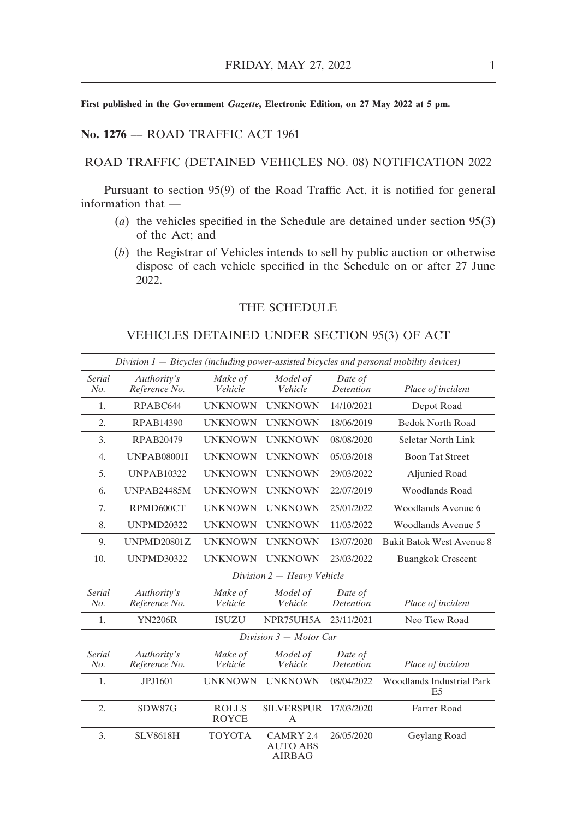#### **No. 1276** –– ROAD TRAFFIC ACT 1961

#### ROAD TRAFFIC (DETAINED VEHICLES NO. 08) NOTIFICATION 2022

Pursuant to section 95(9) of the Road Traffic Act, it is notified for general information that ––

- (*a*) the vehicles specified in the Schedule are detained under section 95(3) of the Act; and
- (*b*) the Registrar of Vehicles intends to sell by public auction or otherwise dispose of each vehicle specified in the Schedule on or after 27 June 2022.

## THE SCHEDULE

#### VEHICLES DETAINED UNDER SECTION 95(3) OF ACT

|                      | $Division 1 - Bicycles (including power-assisted bicycles and personal mobility devices)$ |                              |                                               |                             |                                        |  |  |
|----------------------|-------------------------------------------------------------------------------------------|------------------------------|-----------------------------------------------|-----------------------------|----------------------------------------|--|--|
| <b>Serial</b><br>No. | Authority's<br>Reference No.                                                              | Make of<br>Vehicle           | Model of<br>Vehicle                           | Date of<br>Detention        | Place of incident                      |  |  |
| 1.                   | RPABC644                                                                                  | <b>UNKNOWN</b>               | <b>UNKNOWN</b>                                | 14/10/2021                  | Depot Road                             |  |  |
| $\overline{2}$ .     | RPAB14390                                                                                 | <b>UNKNOWN</b>               | <b>UNKNOWN</b>                                | 18/06/2019                  | <b>Bedok North Road</b>                |  |  |
| 3.                   | RPAB20479                                                                                 | <b>UNKNOWN</b>               | <b>UNKNOWN</b>                                | 08/08/2020                  | Seletar North Link                     |  |  |
| $\overline{4}$ .     | <b>UNPAB08001I</b>                                                                        | <b>UNKNOWN</b>               | <b>UNKNOWN</b>                                | 05/03/2018                  | <b>Boon Tat Street</b>                 |  |  |
| 5 <sub>1</sub>       | <b>UNPAB10322</b>                                                                         | <b>UNKNOWN</b>               | <b>UNKNOWN</b>                                | 29/03/2022                  | Aljunied Road                          |  |  |
| 6.                   | <b>UNPAB24485M</b>                                                                        | <b>UNKNOWN</b>               | <b>UNKNOWN</b>                                | 22/07/2019                  | <b>Woodlands Road</b>                  |  |  |
| 7.                   | RPMD600CT                                                                                 | <b>UNKNOWN</b>               | <b>UNKNOWN</b>                                | 25/01/2022                  | Woodlands Avenue 6                     |  |  |
| 8.                   | <b>UNPMD20322</b>                                                                         | <b>UNKNOWN</b>               | <b>UNKNOWN</b>                                | 11/03/2022                  | Woodlands Avenue 5                     |  |  |
| 9.                   | <b>UNPMD20801Z</b>                                                                        | <b>UNKNOWN</b>               | <b>UNKNOWN</b>                                | 13/07/2020                  | <b>Bukit Batok West Avenue 8</b>       |  |  |
| 10.                  | <b>UNPMD30322</b>                                                                         | <b>UNKNOWN</b>               | <b>UNKNOWN</b>                                | 23/03/2022                  | <b>Buangkok Crescent</b>               |  |  |
|                      |                                                                                           |                              | Division 2 - Heavy Vehicle                    |                             |                                        |  |  |
| Serial<br>No.        | Authority's<br>Reference No.                                                              | Make of<br>Vehicle           | Model of<br>Vehicle                           | Date of<br><b>Detention</b> | Place of incident                      |  |  |
| 1.                   | <b>YN2206R</b>                                                                            | <b>ISUZU</b>                 | NPR75UH5A                                     | 23/11/2021                  | Neo Tiew Road                          |  |  |
|                      |                                                                                           |                              | Division $3 - Motor$ Car                      |                             |                                        |  |  |
| <b>Serial</b><br>No. | Authority's<br>Reference No.                                                              | Make of<br>Vehicle           | Model of<br>Vehicle                           | Date of<br><b>Detention</b> | Place of incident                      |  |  |
| 1.                   | JPJ1601                                                                                   | <b>UNKNOWN</b>               | <b>UNKNOWN</b>                                | 08/04/2022                  | <b>Woodlands Industrial Park</b><br>E5 |  |  |
| $\overline{2}$ .     | SDW87G                                                                                    | <b>ROLLS</b><br><b>ROYCE</b> | <b>SILVERSPUR</b><br>A                        | 17/03/2020                  | Farrer Road                            |  |  |
| 3.                   | <b>SLV8618H</b>                                                                           | <b>TOYOTA</b>                | CAMRY 2.4<br><b>AUTO ABS</b><br><b>AIRBAG</b> | 26/05/2020                  | Geylang Road                           |  |  |